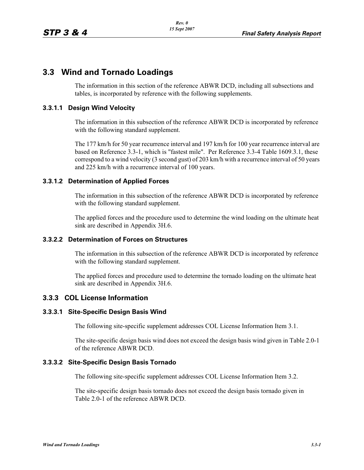# **3.3 Wind and Tornado Loadings**

The information in this section of the reference ABWR DCD, including all subsections and tables, is incorporated by reference with the following supplements.

# **3.3.1.1 Design Wind Velocity**

The information in this subsection of the reference ABWR DCD is incorporated by reference with the following standard supplement.

The 177 km/h for 50 year recurrence interval and 197 km/h for 100 year recurrence interval are based on Reference 3.3-1, which is "fastest mile". Per Reference 3.3-4 Table 1609.3.1, these correspond to a wind velocity (3 second gust) of 203 km/h with a recurrence interval of 50 years and 225 km/h with a recurrence interval of 100 years.

# **3.3.1.2 Determination of Applied Forces**

The information in this subsection of the reference ABWR DCD is incorporated by reference with the following standard supplement.

The applied forces and the procedure used to determine the wind loading on the ultimate heat sink are described in Appendix 3H.6.

#### **3.3.2.2 Determination of Forces on Structures**

The information in this subsection of the reference ABWR DCD is incorporated by reference with the following standard supplement.

The applied forces and procedure used to determine the tornado loading on the ultimate heat sink are described in Appendix 3H.6.

# **3.3.3 COL License Information**

#### **3.3.3.1 Site-Specific Design Basis Wind**

The following site-specific supplement addresses COL License Information Item 3.1.

The site-specific design basis wind does not exceed the design basis wind given in Table 2.0-1 of the reference ABWR DCD.

#### **3.3.3.2 Site-Specific Design Basis Tornado**

The following site-specific supplement addresses COL License Information Item 3.2.

The site-specific design basis tornado does not exceed the design basis tornado given in Table 2.0-1 of the reference ABWR DCD.